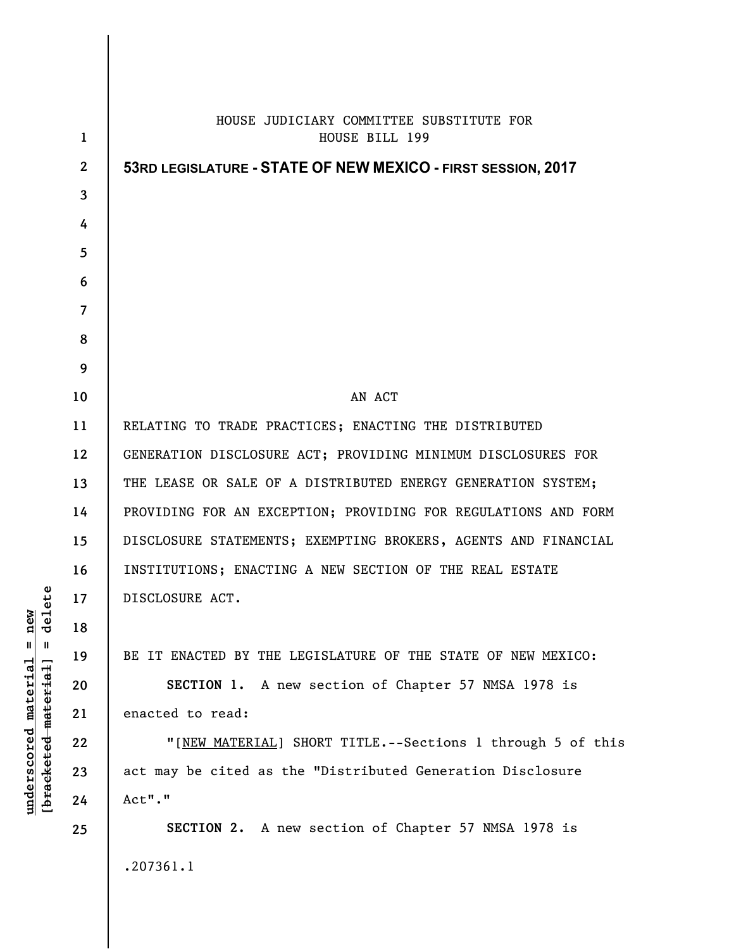| 1            | HOUSE JUDICIARY COMMITTEE SUBSTITUTE FOR<br>HOUSE BILL 199     |
|--------------|----------------------------------------------------------------|
| $\mathbf{2}$ | 53RD LEGISLATURE - STATE OF NEW MEXICO - FIRST SESSION, 2017   |
| 3            |                                                                |
| 4            |                                                                |
| 5            |                                                                |
| 6            |                                                                |
| 7            |                                                                |
| 8            |                                                                |
| 9            |                                                                |
| 10           | AN ACT                                                         |
| 11           | RELATING TO TRADE PRACTICES; ENACTING THE DISTRIBUTED          |
| 12           | GENERATION DISCLOSURE ACT; PROVIDING MINIMUM DISCLOSURES FOR   |
| 13           | THE LEASE OR SALE OF A DISTRIBUTED ENERGY GENERATION SYSTEM;   |
| 14           | PROVIDING FOR AN EXCEPTION; PROVIDING FOR REGULATIONS AND FORM |
| 15           | DISCLOSURE STATEMENTS; EXEMPTING BROKERS, AGENTS AND FINANCIAL |
| 16           | INSTITUTIONS; ENACTING A NEW SECTION OF THE REAL ESTATE        |
| 17           | DISCLOSURE ACT.                                                |
| 18           |                                                                |
| 19           | BE IT ENACTED BY THE LEGISLATURE OF THE STATE OF NEW MEXICO:   |
| 20           | SECTION 1. A new section of Chapter 57 NMSA 1978 is            |
| 21           | enacted to read:                                               |
| 22           | "[NEW MATERIAL] SHORT TITLE. -- Sections 1 through 5 of this   |
| 23           | act may be cited as the "Distributed Generation Disclosure     |
| 24           | Act"."                                                         |
| 25           | SECTION 2. A new section of Chapter 57 NMSA 1978 is            |
|              | .207361.1                                                      |
|              |                                                                |

 $\overline{\phantom{a}}$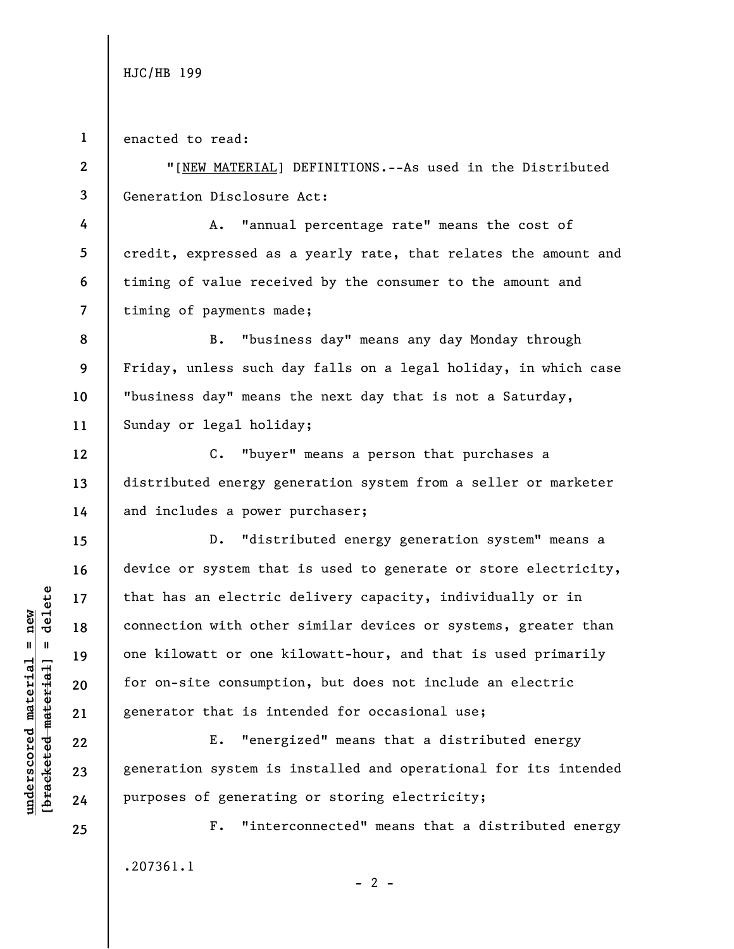**1**  enacted to read:

**2** 

**4** 

**5** 

**6** 

**7** 

**12** 

**13** 

**14** 

**15** 

**16** 

**17** 

**18** 

**19** 

**20** 

**21** 

**22** 

**23** 

**24** 

**3**  "[NEW MATERIAL] DEFINITIONS.--As used in the Distributed Generation Disclosure Act:

A. "annual percentage rate" means the cost of credit, expressed as a yearly rate, that relates the amount and timing of value received by the consumer to the amount and timing of payments made;

**8 9 10 11**  B. "business day" means any day Monday through Friday, unless such day falls on a legal holiday, in which case "business day" means the next day that is not a Saturday, Sunday or legal holiday;

C. "buyer" means a person that purchases a distributed energy generation system from a seller or marketer and includes a power purchaser;

D. "distributed energy generation system" means a device or system that is used to generate or store electricity, that has an electric delivery capacity, individually or in connection with other similar devices or systems, greater than one kilowatt or one kilowatt-hour, and that is used primarily for on-site consumption, but does not include an electric generator that is intended for occasional use;

E. "energized" means that a distributed energy generation system is installed and operational for its intended purposes of generating or storing electricity;

F. "interconnected" means that a distributed energy .207361.1

 $- 2 -$ 

 $b$ racketed material] = delete **[bracketed material] = delete**  $underscored material = new$ **underscored material = new**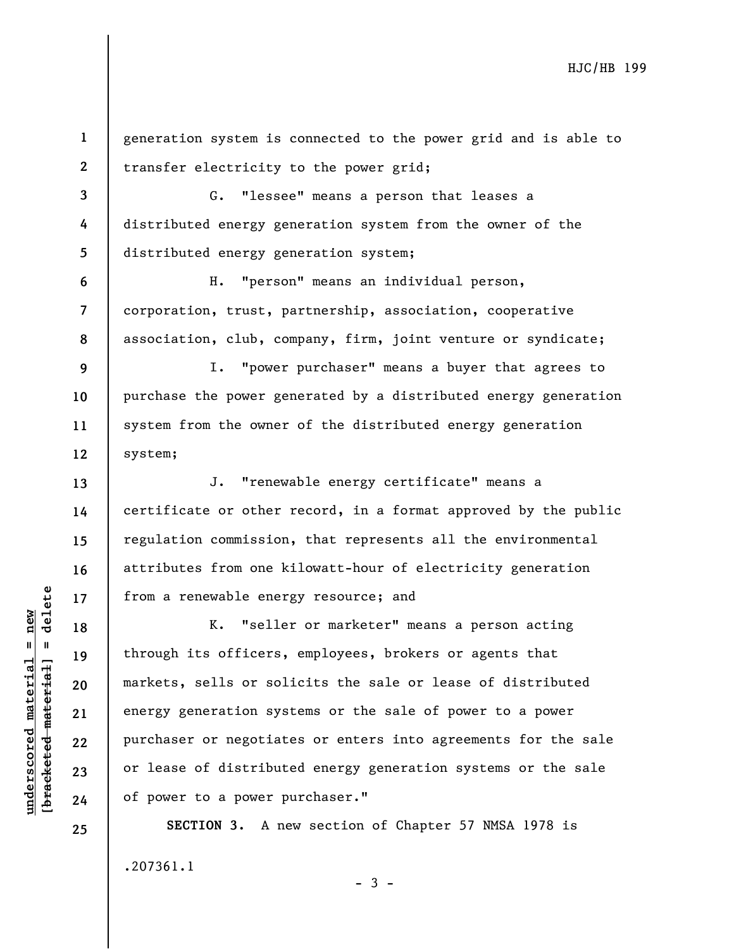**1 2**  generation system is connected to the power grid and is able to transfer electricity to the power grid;

**3 4 5**  G. "lessee" means a person that leases a distributed energy generation system from the owner of the distributed energy generation system;

**8**  H. "person" means an individual person, corporation, trust, partnership, association, cooperative association, club, company, firm, joint venture or syndicate;

**12**  I. "power purchaser" means a buyer that agrees to purchase the power generated by a distributed energy generation system from the owner of the distributed energy generation system;

J. "renewable energy certificate" means a certificate or other record, in a format approved by the public regulation commission, that represents all the environmental attributes from one kilowatt-hour of electricity generation from a renewable energy resource; and

K. "seller or marketer" means a person acting through its officers, employees, brokers or agents that markets, sells or solicits the sale or lease of distributed energy generation systems or the sale of power to a power purchaser or negotiates or enters into agreements for the sale or lease of distributed energy generation systems or the sale of power to a power purchaser."

**SECTION 3.** A new section of Chapter 57 NMSA 1978 is .207361.1  $-3 -$ 

 $b$ racketed material] = delete **[bracketed material] = delete**  $underscored material = new$ **underscored material = new**

**6** 

**7** 

**9** 

**10** 

**11** 

**13** 

**14** 

**15** 

**16** 

**17** 

**18** 

**19** 

**20** 

**21** 

**22** 

**23** 

**24**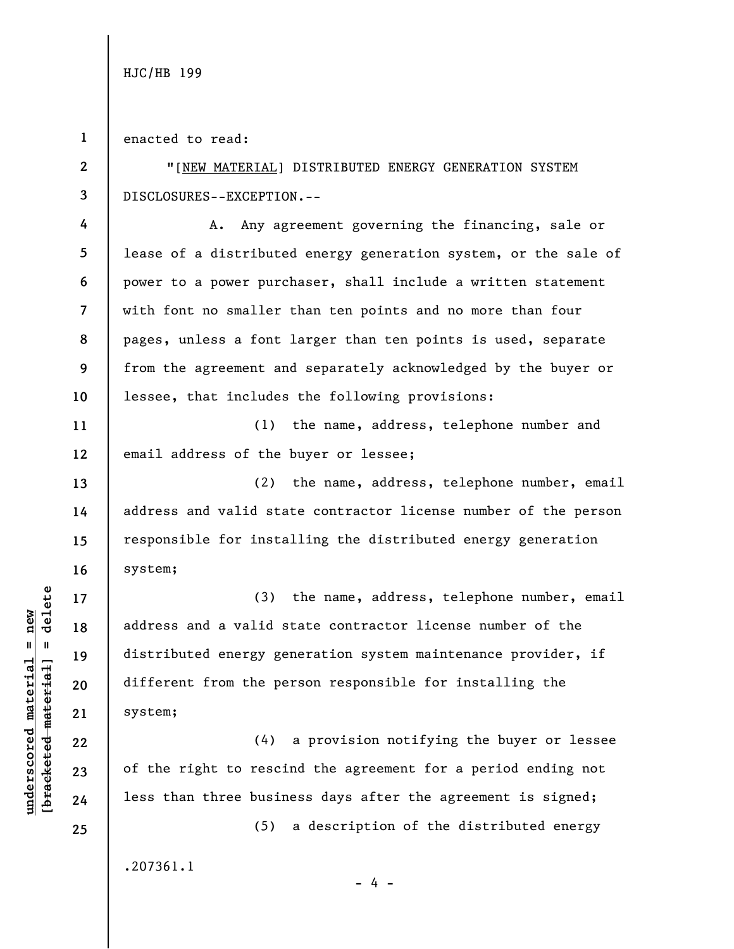**1**  enacted to read:

**2** 

**13** 

**14** 

**15** 

**16** 

**17** 

**18** 

**19** 

**20** 

**21** 

**22** 

**23** 

**24** 

**25** 

**3**  "[NEW MATERIAL] DISTRIBUTED ENERGY GENERATION SYSTEM DISCLOSURES--EXCEPTION.--

**4 5 6 7 8 9 10**  A. Any agreement governing the financing, sale or lease of a distributed energy generation system, or the sale of power to a power purchaser, shall include a written statement with font no smaller than ten points and no more than four pages, unless a font larger than ten points is used, separate from the agreement and separately acknowledged by the buyer or lessee, that includes the following provisions:

**11 12**  (1) the name, address, telephone number and email address of the buyer or lessee;

(2) the name, address, telephone number, email address and valid state contractor license number of the person responsible for installing the distributed energy generation system;

(3) the name, address, telephone number, email address and a valid state contractor license number of the distributed energy generation system maintenance provider, if different from the person responsible for installing the system;

(4) a provision notifying the buyer or lessee of the right to rescind the agreement for a period ending not less than three business days after the agreement is signed;

 $- 4 -$ 

(5) a description of the distributed energy

.207361.1

 $b$ racketed material] = delete **[bracketed material] = delete**  $underscored material = new$ **underscored material = new**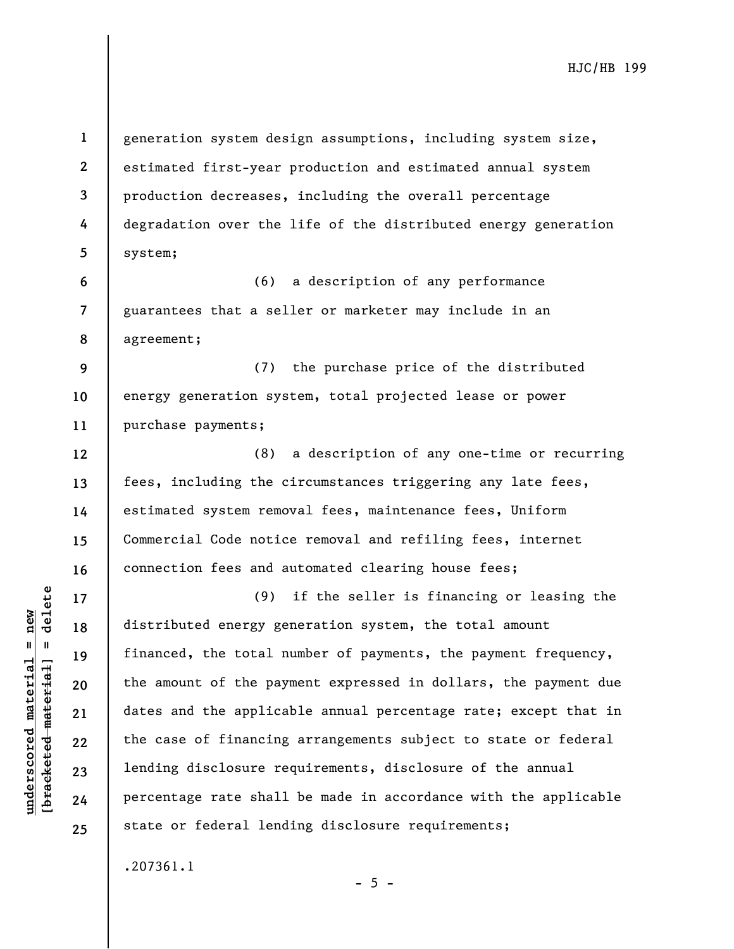**1 2 3 4 5 6 7 8 9 10 11 12 13 14 15 16 17 18 19 20 21 22 23 24 25**  generation system design assumptions, including system size, estimated first-year production and estimated annual system production decreases, including the overall percentage degradation over the life of the distributed energy generation system; (6) a description of any performance guarantees that a seller or marketer may include in an agreement; (7) the purchase price of the distributed energy generation system, total projected lease or power purchase payments; (8) a description of any one-time or recurring fees, including the circumstances triggering any late fees, estimated system removal fees, maintenance fees, Uniform Commercial Code notice removal and refiling fees, internet connection fees and automated clearing house fees; (9) if the seller is financing or leasing the distributed energy generation system, the total amount financed, the total number of payments, the payment frequency, the amount of the payment expressed in dollars, the payment due dates and the applicable annual percentage rate; except that in the case of financing arrangements subject to state or federal lending disclosure requirements, disclosure of the annual percentage rate shall be made in accordance with the applicable state or federal lending disclosure requirements; .207361.1

 $b$ racketed material] = delete **[bracketed material] = delete**  $underscored material = new$ **underscored material = new**

 $- 5 -$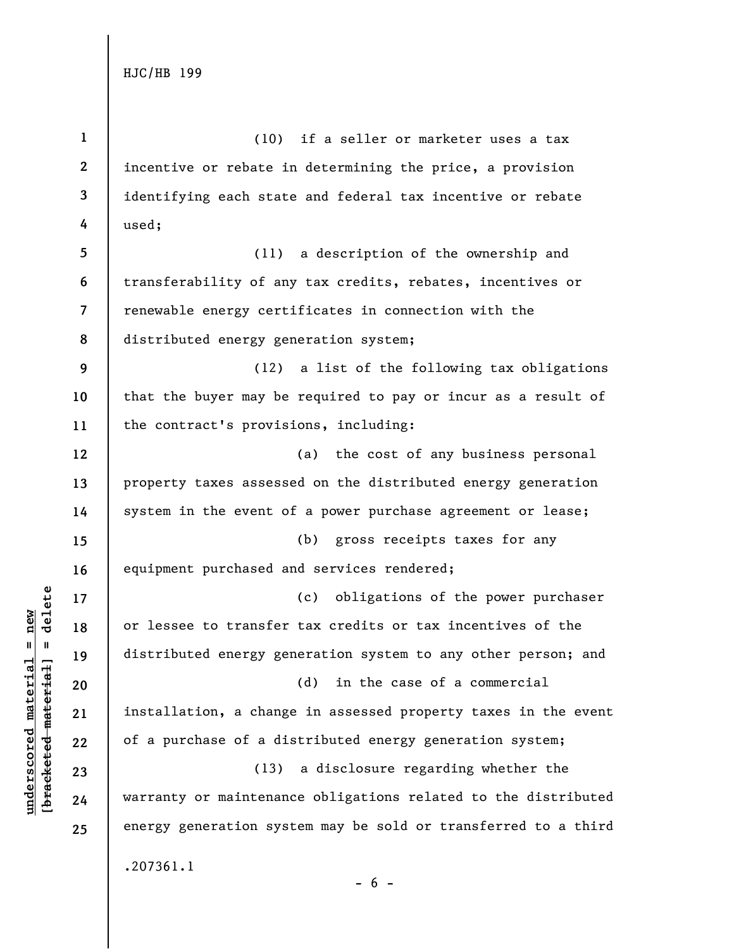| $\mathbf{1}$             | (10) if a seller or marketer uses a tax                        |
|--------------------------|----------------------------------------------------------------|
| $\mathbf{2}$             | incentive or rebate in determining the price, a provision      |
| 3                        | identifying each state and federal tax incentive or rebate     |
| 4                        | used;                                                          |
| 5                        | (11) a description of the ownership and                        |
| 6                        | transferability of any tax credits, rebates, incentives or     |
| $\overline{\mathcal{L}}$ | renewable energy certificates in connection with the           |
| 8                        | distributed energy generation system;                          |
| 9                        | (12) a list of the following tax obligations                   |
| 10                       | that the buyer may be required to pay or incur as a result of  |
| 11                       | the contract's provisions, including:                          |
| 12                       | (a) the cost of any business personal                          |
| 13                       | property taxes assessed on the distributed energy generation   |
| 14                       | system in the event of a power purchase agreement or lease;    |
| 15                       | (b) gross receipts taxes for any                               |
| 16                       | equipment purchased and services rendered;                     |
| 17                       | (c) obligations of the power purchaser                         |
| 18                       | or lessee to transfer tax credits or tax incentives of the     |
| 19                       | distributed energy generation system to any other person; and  |
| 20                       | (d) in the case of a commercial                                |
| 21                       | installation, a change in assessed property taxes in the event |
| 22                       | of a purchase of a distributed energy generation system;       |
| 23                       | (13) a disclosure regarding whether the                        |
| 24                       | warranty or maintenance obligations related to the distributed |
| 25                       | energy generation system may be sold or transferred to a third |
|                          | .207361.1<br>$-6-$                                             |

 $[bracketeed-materiat] = delete$ **[bracketed material] = delete**  $underscored material = new$ **underscored material = new**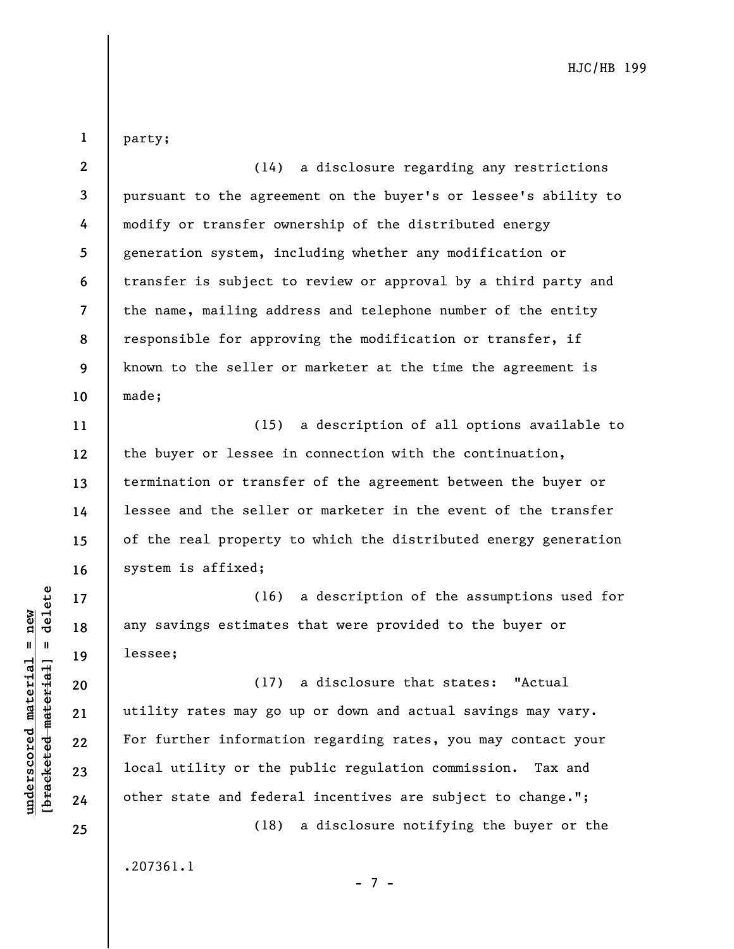party;

**1** 

**2 3 4 5 6 7 8 9 10**  (14) a disclosure regarding any restrictions pursuant to the agreement on the buyer's or lessee's ability to modify or transfer ownership of the distributed energy generation system, including whether any modification or transfer is subject to review or approval by a third party and the name, mailing address and telephone number of the entity responsible for approving the modification or transfer, if known to the seller or marketer at the time the agreement is made;

**11 12 13 14 15 16**  (15) a description of all options available to the buyer or lessee in connection with the continuation, termination or transfer of the agreement between the buyer or lessee and the seller or marketer in the event of the transfer of the real property to which the distributed energy generation system is affixed;

(16) a description of the assumptions used for any savings estimates that were provided to the buyer or lessee;

(17) a disclosure that states: "Actual utility rates may go up or down and actual savings may vary. For further information regarding rates, you may contact your local utility or the public regulation commission. Tax and other state and federal incentives are subject to change.";

- 7 -

(18) a disclosure notifying the buyer or the

.207361.1

 $b$ racketed material] = delete **[bracketed material] = delete**  $underscored material = new$ **underscored material = new**

**17** 

**18** 

**19** 

**20** 

**21** 

**22** 

**23** 

**24**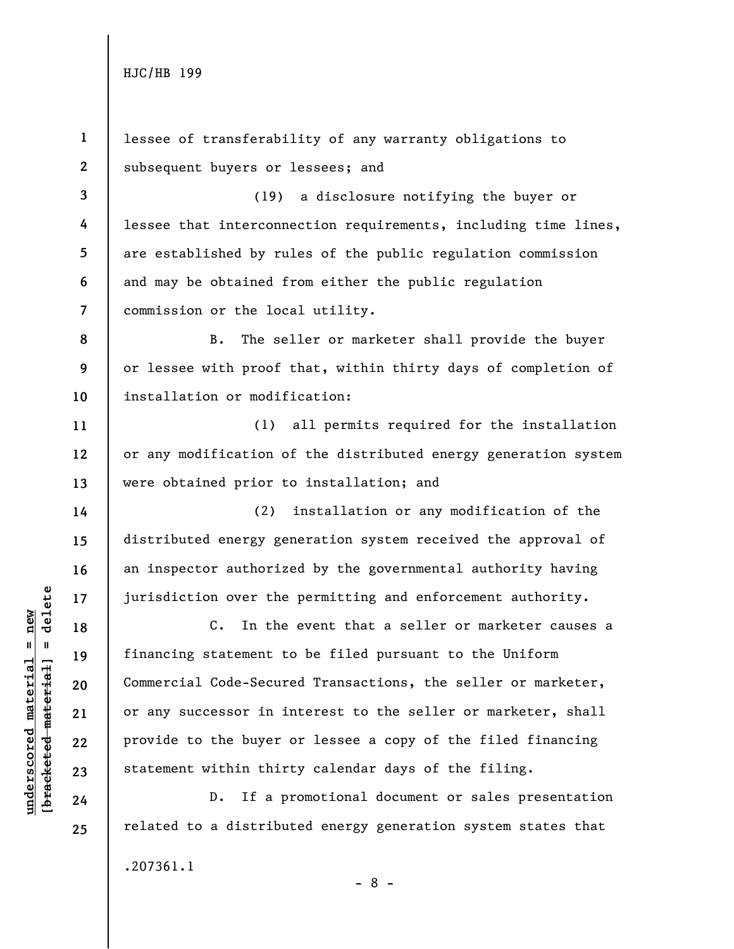**underscored material = new [bracketed material] = delete**

 $b$ racketed material] = delete  $underscored material = new$ 

**1 2 3 4 5 6 7 8 9 10 11 12 13 14 15 16 17 18 19 20 21 22 23 24 25**  lessee of transferability of any warranty obligations to subsequent buyers or lessees; and (19) a disclosure notifying the buyer or lessee that interconnection requirements, including time lines, are established by rules of the public regulation commission and may be obtained from either the public regulation commission or the local utility. B. The seller or marketer shall provide the buyer or lessee with proof that, within thirty days of completion of installation or modification: (1) all permits required for the installation or any modification of the distributed energy generation system were obtained prior to installation; and (2) installation or any modification of the distributed energy generation system received the approval of an inspector authorized by the governmental authority having jurisdiction over the permitting and enforcement authority. C. In the event that a seller or marketer causes a financing statement to be filed pursuant to the Uniform Commercial Code-Secured Transactions, the seller or marketer, or any successor in interest to the seller or marketer, shall provide to the buyer or lessee a copy of the filed financing statement within thirty calendar days of the filing. D. If a promotional document or sales presentation related to a distributed energy generation system states that .207361.1 - 8 -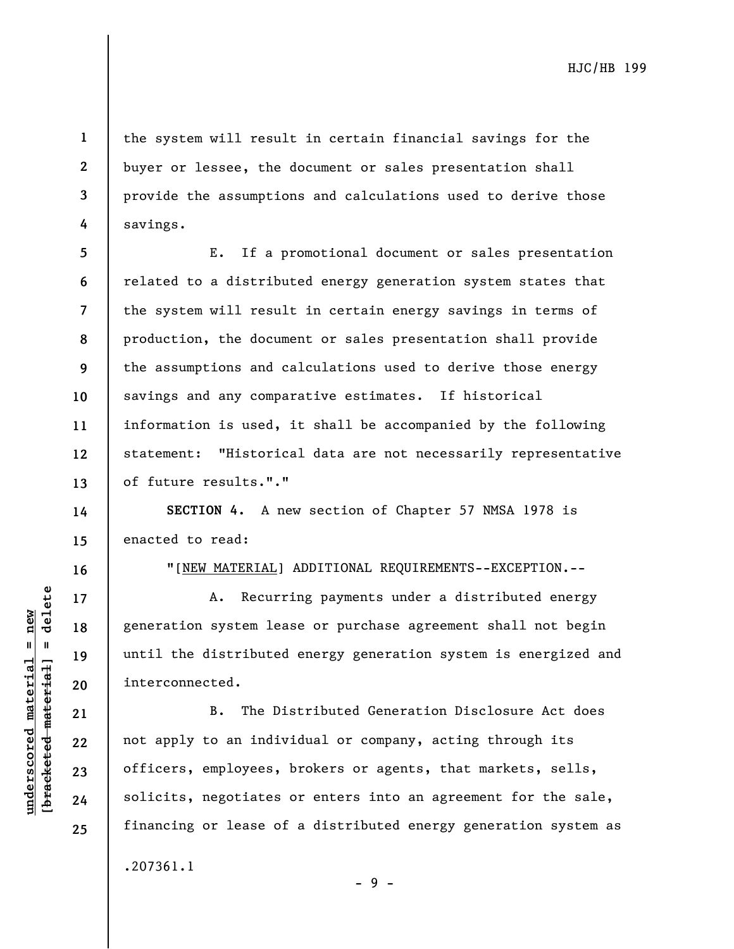the system will result in certain financial savings for the buyer or lessee, the document or sales presentation shall provide the assumptions and calculations used to derive those savings.

**5 6 7 8 9 10 11 12 13**  E. If a promotional document or sales presentation related to a distributed energy generation system states that the system will result in certain energy savings in terms of production, the document or sales presentation shall provide the assumptions and calculations used to derive those energy savings and any comparative estimates. If historical information is used, it shall be accompanied by the following statement: "Historical data are not necessarily representative of future results."."

**14 15 SECTION 4.** A new section of Chapter 57 NMSA 1978 is enacted to read:

"[NEW MATERIAL] ADDITIONAL REQUIREMENTS--EXCEPTION.--

A. Recurring payments under a distributed energy generation system lease or purchase agreement shall not begin until the distributed energy generation system is energized and interconnected.

B. The Distributed Generation Disclosure Act does not apply to an individual or company, acting through its officers, employees, brokers or agents, that markets, sells, solicits, negotiates or enters into an agreement for the sale, financing or lease of a distributed energy generation system as .207361.1

 $b$ racketed material] = delete **[bracketed material] = delete**  $underscored material = new$ **underscored material = new**

**16** 

**17** 

**18** 

**19** 

**20** 

**21** 

**22** 

**23** 

**24** 

**25** 

**1** 

**2** 

**3** 

**4** 

- 9 -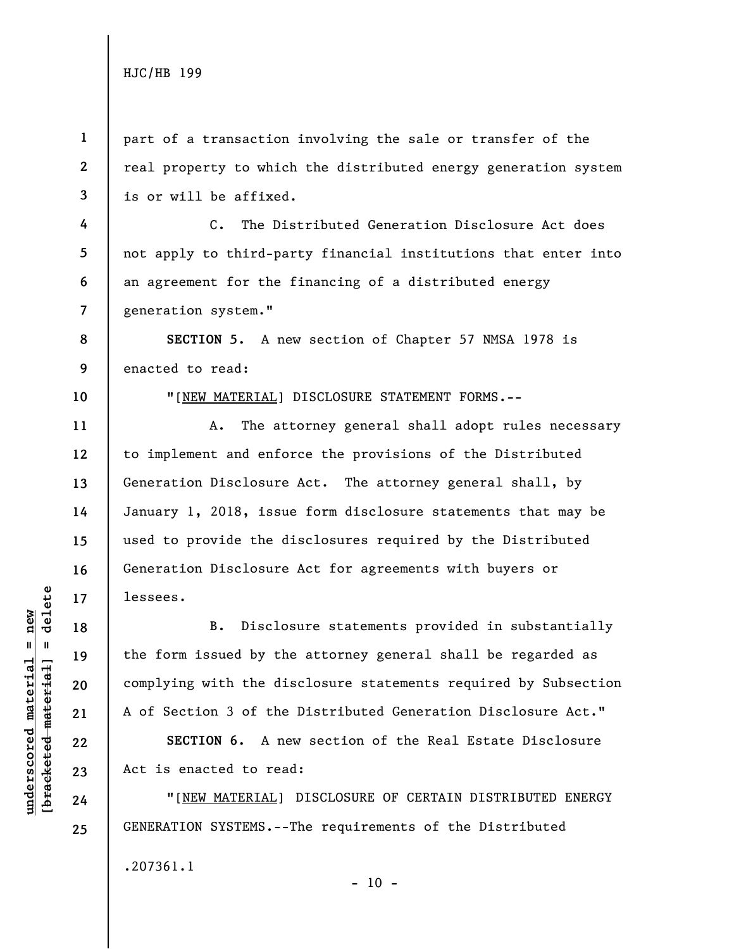**1 2 3**  part of a transaction involving the sale or transfer of the real property to which the distributed energy generation system is or will be affixed.

**5 7**  C. The Distributed Generation Disclosure Act does not apply to third-party financial institutions that enter into an agreement for the financing of a distributed energy generation system."

**8 9 SECTION 5.** A new section of Chapter 57 NMSA 1978 is enacted to read:

**10** 

**11** 

**12** 

**13** 

**14** 

**15** 

**16** 

**17** 

**18** 

**19** 

**20** 

**21** 

**22** 

**23** 

**4** 

**6** 

"[NEW MATERIAL] DISCLOSURE STATEMENT FORMS.--

A. The attorney general shall adopt rules necessary to implement and enforce the provisions of the Distributed Generation Disclosure Act. The attorney general shall, by January 1, 2018, issue form disclosure statements that may be used to provide the disclosures required by the Distributed Generation Disclosure Act for agreements with buyers or lessees.

B. Disclosure statements provided in substantially the form issued by the attorney general shall be regarded as complying with the disclosure statements required by Subsection A of Section 3 of the Distributed Generation Disclosure Act."

**SECTION 6.** A new section of the Real Estate Disclosure Act is enacted to read:

"[NEW MATERIAL] DISCLOSURE OF CERTAIN DISTRIBUTED ENERGY GENERATION SYSTEMS.--The requirements of the Distributed .207361.1

 $b$ racketed material] = delete **[bracketed material] = delete**  $underscored material = new$ **underscored material = new**